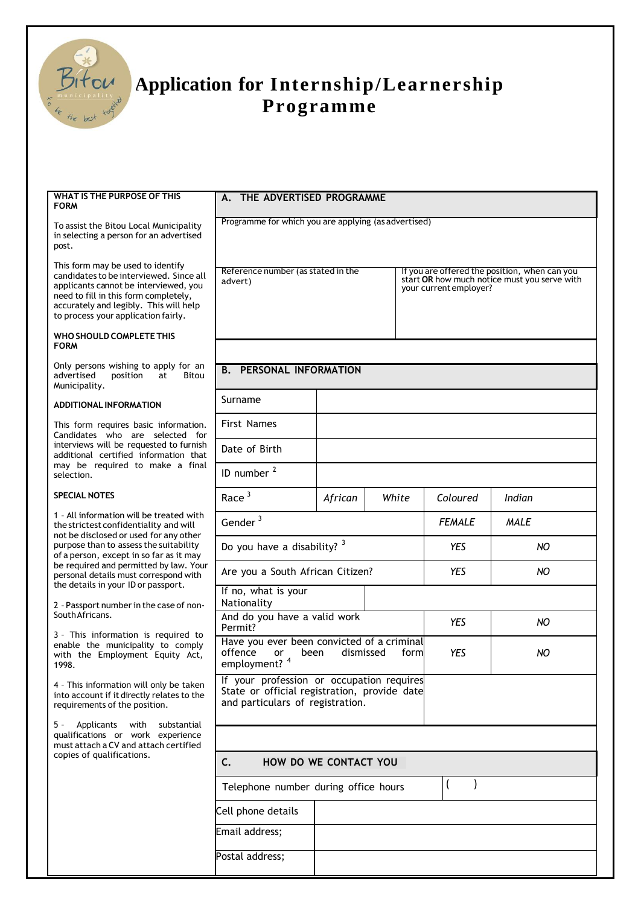

## **Application for Internship/Learnership Programme**

| WHAT IS THE PURPOSE OF THIS<br><b>FORM</b>                                                                                                                                                                                                      | THE ADVERTISED PROGRAMME<br>А.                                                                                                |         |       |  |                                                                                                                         |             |  |
|-------------------------------------------------------------------------------------------------------------------------------------------------------------------------------------------------------------------------------------------------|-------------------------------------------------------------------------------------------------------------------------------|---------|-------|--|-------------------------------------------------------------------------------------------------------------------------|-------------|--|
| To assist the Bitou Local Municipality<br>in selecting a person for an advertised<br>post.                                                                                                                                                      | Programme for which you are applying (as advertised)                                                                          |         |       |  |                                                                                                                         |             |  |
| This form may be used to identify<br>candidates to be interviewed. Since all<br>applicants cannot be interviewed, you<br>need to fill in this form completely,<br>accurately and legibly. This will help<br>to process your application fairly. | Reference number (as stated in the<br>advert)                                                                                 |         |       |  | If you are offered the position, when can you<br>start OR how much notice must you serve with<br>your current employer? |             |  |
| WHO SHOULD COMPLETE THIS<br><b>FORM</b>                                                                                                                                                                                                         |                                                                                                                               |         |       |  |                                                                                                                         |             |  |
| Only persons wishing to apply for an<br>advertised<br>position<br><b>Bitou</b><br>at<br>Municipality.                                                                                                                                           | <b>B. PERSONAL INFORMATION</b>                                                                                                |         |       |  |                                                                                                                         |             |  |
| <b>ADDITIONAL INFORMATION</b>                                                                                                                                                                                                                   | Surname                                                                                                                       |         |       |  |                                                                                                                         |             |  |
| This form requires basic information.<br>Candidates who are selected for<br>interviews will be requested to furnish<br>additional certified information that<br>may be required to make a final<br>selection.                                   | <b>First Names</b>                                                                                                            |         |       |  |                                                                                                                         |             |  |
|                                                                                                                                                                                                                                                 | Date of Birth                                                                                                                 |         |       |  |                                                                                                                         |             |  |
|                                                                                                                                                                                                                                                 | ID number <sup>2</sup>                                                                                                        |         |       |  |                                                                                                                         |             |  |
| <b>SPECIAL NOTES</b>                                                                                                                                                                                                                            | Race <sup>3</sup>                                                                                                             | African | White |  | Coloured                                                                                                                | Indian      |  |
| 1 - All information will be treated with<br>the strictest confidentiality and will<br>not be disclosed or used for any other<br>purpose than to assess the suitability<br>of a person, except in so far as it may                               | Gender $3$                                                                                                                    |         |       |  | <b>FEMALE</b>                                                                                                           | <b>MALE</b> |  |
|                                                                                                                                                                                                                                                 | Do you have a disability? 3                                                                                                   |         |       |  | <b>YES</b>                                                                                                              | NO          |  |
| be required and permitted by law. Your<br>personal details must correspond with                                                                                                                                                                 | Are you a South African Citizen?                                                                                              |         |       |  | <b>YES</b>                                                                                                              | NO          |  |
| the details in your ID or passport.<br>2 - Passport number in the case of non-                                                                                                                                                                  | If no, what is your<br>Nationality                                                                                            |         |       |  |                                                                                                                         |             |  |
| South Africans.                                                                                                                                                                                                                                 | And do you have a valid work<br>Permit?                                                                                       |         |       |  | YES                                                                                                                     | NO.         |  |
| 3 - This information is required to<br>enable the municipality to comply<br>with the Employment Equity Act,<br>1998.                                                                                                                            | Have you ever been convicted of a criminal<br>offence<br>dismissed<br>been<br>form<br><b>or</b><br>employment? <sup>4</sup>   |         |       |  | <b>YES</b>                                                                                                              | NO          |  |
| 4 - This information will only be taken<br>into account if it directly relates to the<br>requirements of the position.                                                                                                                          | If your profession or occupation requires<br>State or official registration, provide date<br>and particulars of registration. |         |       |  |                                                                                                                         |             |  |
| Applicants<br>5 -<br>with<br>substantial<br>qualifications or work experience<br>must attach a CV and attach certified                                                                                                                          |                                                                                                                               |         |       |  |                                                                                                                         |             |  |
| copies of qualifications.                                                                                                                                                                                                                       | C.<br>HOW DO WE CONTACT YOU                                                                                                   |         |       |  |                                                                                                                         |             |  |
|                                                                                                                                                                                                                                                 | $\overline{(}$<br>Telephone number during office hours                                                                        |         |       |  |                                                                                                                         |             |  |
|                                                                                                                                                                                                                                                 | Cell phone details                                                                                                            |         |       |  |                                                                                                                         |             |  |
|                                                                                                                                                                                                                                                 | Email address;                                                                                                                |         |       |  |                                                                                                                         |             |  |
|                                                                                                                                                                                                                                                 | Postal address;                                                                                                               |         |       |  |                                                                                                                         |             |  |